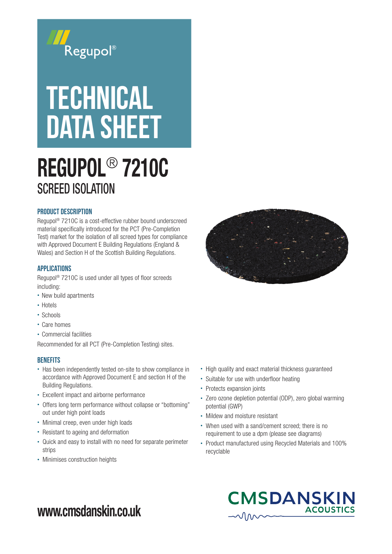

# **TECHNICAL** DATA SHEET

## REGUPOL® 7210C SCREED ISOLATION

### Product Description

Regupol® 7210C is a cost-effective rubber bound underscreed material specifically introduced for the PCT (Pre-Completion Test) market for the isolation of all screed types for compliance with Approved Document E Building Regulations (England & Wales) and Section H of the Scottish Building Regulations.

#### APPLICATIONS

Regupol® 7210C is used under all types of floor screeds including:

- New build apartments
- Hotels
- Schools
- Care homes
- Commercial facilities

Recommended for all PCT (Pre-Completion Testing) sites.

### **BENEFITS**

- Has been independently tested on-site to show compliance in accordance with Approved Document E and section H of the Building Regulations.
- Excellent impact and airborne performance
- Offers long term performance without collapse or "bottoming" out under high point loads
- Minimal creep, even under high loads
- Resistant to ageing and deformation
- Quick and easy to install with no need for separate perimeter strips
- Minimises construction heights



- High quality and exact material thickness guaranteed
- Suitable for use with underfloor heating
- Protects expansion joints
- Zero ozone depletion potential (ODP), zero global warming potential (GWP)
- Mildew and moisture resistant
- When used with a sand/cement screed; there is no requirement to use a dpm (please see diagrams)
- Product manufactured using Recycled Materials and 100% recyclable



### www.cmsdanskin.co.uk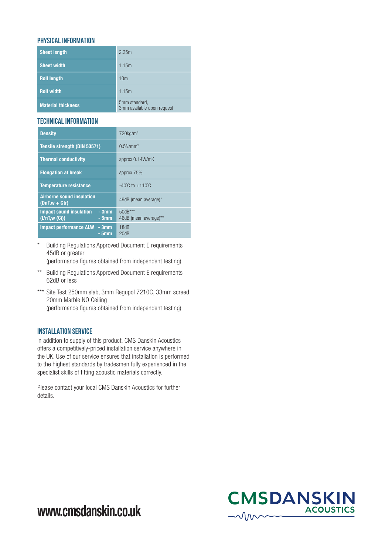### PHYSICAL INFORMATION

| <b>Sheet length</b>       | 2.25m                                       |
|---------------------------|---------------------------------------------|
| <b>Sheet width</b>        | 1.15m                                       |
| <b>Roll length</b>        | 10 <sub>m</sub>                             |
| <b>Roll width</b>         | 1.15m                                       |
| <b>Material thickness</b> | 5mm standard,<br>3mm available upon request |

### TECHNICAL Information

| <b>Density</b>                                                    | $720$ kg/m <sup>3</sup>             |
|-------------------------------------------------------------------|-------------------------------------|
| Tensile strength (DIN 53571)                                      | 0.5N/mm <sup>2</sup>                |
| <b>Thermal conductivity</b>                                       | approx 0.14W/mK                     |
| <b>Elongation at break</b>                                        | approx 75%                          |
| <b>Temperature resistance</b>                                     | $-40^{\circ}$ C to $+110^{\circ}$ C |
| <b>Airborne sound insulation</b><br>$(DnT,w + Ctr)$               | 49dB (mean average)*                |
| <b>Impact sound insulation</b><br>$-3mm$<br>(L'nT,w(Gi))<br>- 5mm | $50dB***$<br>46dB (mean average)**  |
| Impact performance ALW<br>- 3mm<br>$-5mm$                         | 18dB<br>20dB                        |

\* Building Regulations Approved Document E requirements 45dB or greater

(performance figures obtained from independent testing)

- \*\* Building Regulations Approved Document E requirements 62dB or less
- \*\*\* Site Test 250mm slab, 3mm Regupol 7210C, 33mm screed, 20mm Marble NO Ceiling (performance figures obtained from independent testing)

### Installation Service

In addition to supply of this product, CMS Danskin Acoustics offers a competitively-priced installation service anywhere in the UK. Use of our service ensures that installation is performed to the highest standards by tradesmen fully experienced in the specialist skills of fitting acoustic materials correctly.

Please contact your local CMS Danskin Acoustics for further details.



www.cmsdanskin.co.uk